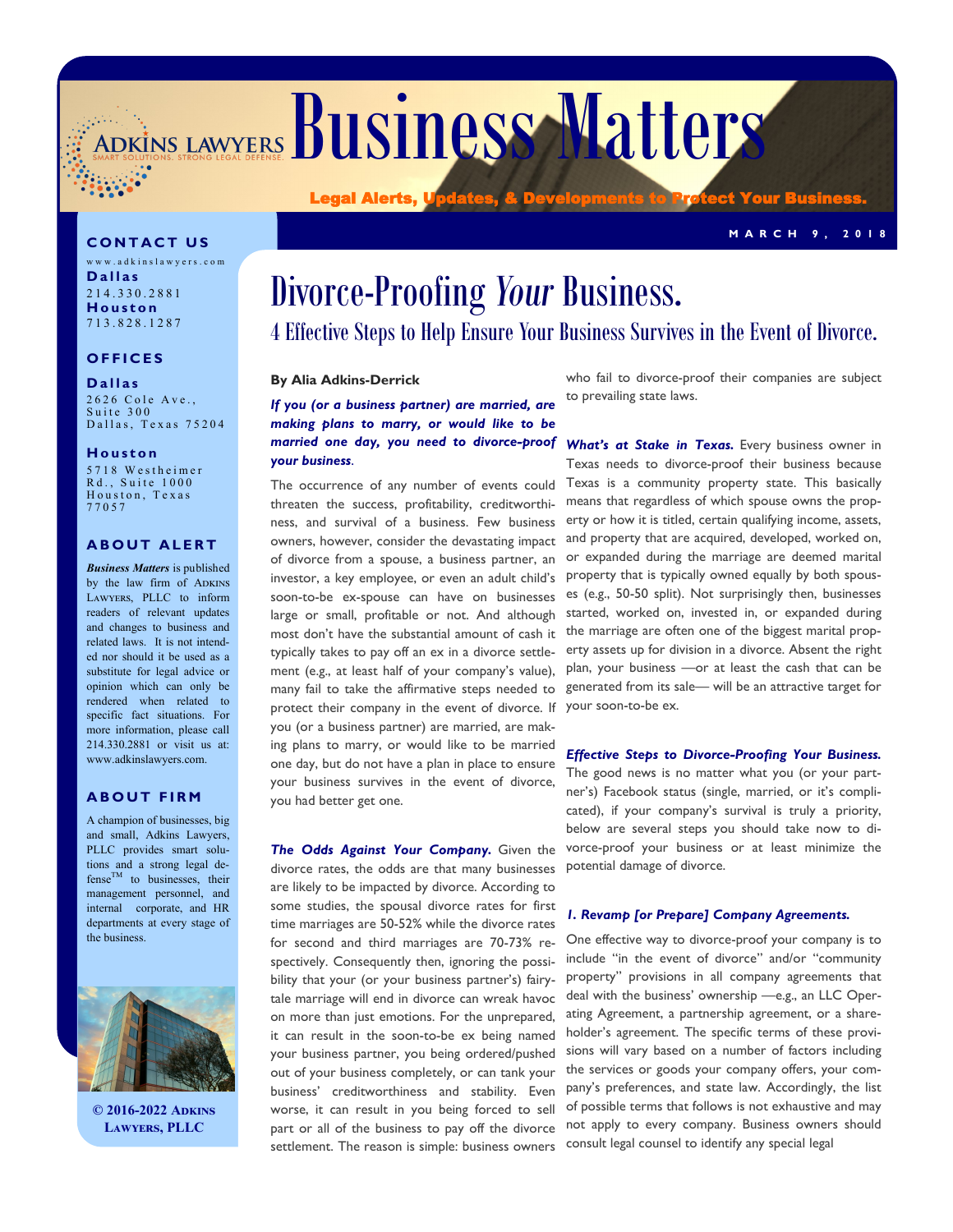ADKINS LAWYERS BUSINESS Matters

**C O N T A C T U S**

w w w . a d k i n s l a w y e r s . c o m **D a l l a s** 2 1 4 . 3 3 0 . 2 8 8 1 **H o u s t o n** 7 1 3 . 8 2 8 . 1 2 8 7

### **O F F I C E S**

#### **D a l l a s**

2626 Cole Ave., Suite 300 Dallas, Texas 75204

#### **H o u s t o n**

5 7 1 8 W e s t h e i m e r Rd., Suite 1000 Houston, Texas 7 7 0 5 7

#### **ABOUT ALERT**

*Business Matters* is published by the law firm of ADKINS Lawyers, PLLC to inform readers of relevant updates and changes to business and related laws. It is not intended nor should it be used as a substitute for legal advice or opinion which can only be rendered when related to specific fact situations. For more information, please call 214.330.2881 or visit us at: www.adkinslawyers.com.

#### **A B O U T F I R M**

A champion of businesses, big and small, Adkins Lawyers, PLLC provides smart solutions and a strong legal de $f$ ense<sup>TM</sup> to businesses, their management personnel, and internal corporate, and HR departments at every stage of the business.



**© 2016-2022 Adkins Lawyers, PLLC**

## Divorce-Proofing *Your* Business. 4 Effective Steps to Help Ensure Your Business Survives in the Event of Divorce.

#### **By Alia Adkins-Derrick**

Legal Alerts,

*If you (or a business partner) are married, are making plans to marry, or would like to be married one day, you need to divorce-proof your business*.

The occurrence of any number of events could threaten the success, profitability, creditworthiness, and survival of a business. Few business owners, however, consider the devastating impact of divorce from a spouse, a business partner, an investor, a key employee, or even an adult child's soon-to-be ex-spouse can have on businesses large or small, profitable or not. And although most don't have the substantial amount of cash it typically takes to pay off an ex in a divorce settlement (e.g., at least half of your company's value), many fail to take the affirmative steps needed to protect their company in the event of divorce. If you (or a business partner) are married, are making plans to marry, or would like to be married one day, but do not have a plan in place to ensure your business survives in the event of divorce, you had better get one.

*The Odds Against Your Company.* Given the divorce rates, the odds are that many businesses are likely to be impacted by divorce. According to some studies, the spousal divorce rates for first time marriages are 50-52% while the divorce rates for second and third marriages are 70-73% respectively. Consequently then, ignoring the possibility that your (or your business partner's) fairytale marriage will end in divorce can wreak havoc on more than just emotions. For the unprepared, it can result in the soon-to-be ex being named your business partner, you being ordered/pushed out of your business completely, or can tank your business' creditworthiness and stability. Even worse, it can result in you being forced to sell part or all of the business to pay off the divorce settlement. The reason is simple: business owners

who fail to divorce-proof their companies are subject to prevailing state laws.

What's at Stake in Texas. Every business owner in Texas needs to divorce-proof their business because Texas is a community property state. This basically means that regardless of which spouse owns the property or how it is titled, certain qualifying income, assets, and property that are acquired, developed, worked on, or expanded during the marriage are deemed marital property that is typically owned equally by both spouses (e.g., 50-50 split). Not surprisingly then, businesses started, worked on, invested in, or expanded during the marriage are often one of the biggest marital property assets up for division in a divorce. Absent the right plan, your business —or at least the cash that can be generated from its sale— will be an attractive target for your soon-to-be ex.

*Effective Steps to Divorce-Proofing Your Business.*  The good news is no matter what you (or your partner's) Facebook status (single, married, or it's complicated), if your company's survival is truly a priority, below are several steps you should take now to divorce-proof your business or at least minimize the potential damage of divorce.

#### *1. Revamp [or Prepare] Company Agreements.*

One effective way to divorce-proof your company is to include "in the event of divorce" and/or "community property" provisions in all company agreements that deal with the business' ownership —e.g., an LLC Operating Agreement, a partnership agreement, or a shareholder's agreement. The specific terms of these provisions will vary based on a number of factors including the services or goods your company offers, your company's preferences, and state law. Accordingly, the list of possible terms that follows is not exhaustive and may not apply to every company. Business owners should consult legal counsel to identify any special legal